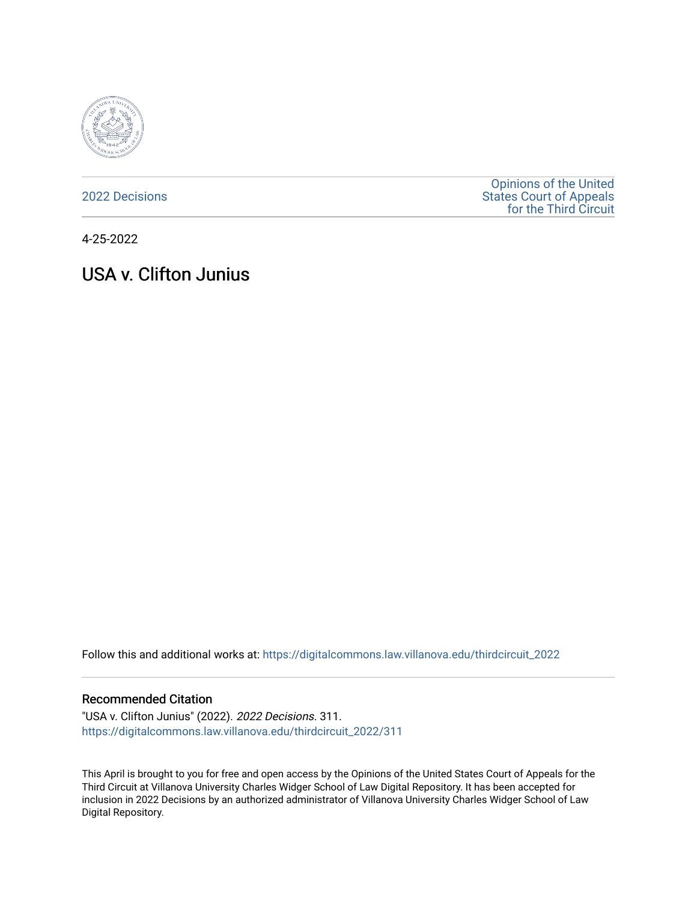

[2022 Decisions](https://digitalcommons.law.villanova.edu/thirdcircuit_2022)

[Opinions of the United](https://digitalcommons.law.villanova.edu/thirdcircuit)  [States Court of Appeals](https://digitalcommons.law.villanova.edu/thirdcircuit)  [for the Third Circuit](https://digitalcommons.law.villanova.edu/thirdcircuit) 

4-25-2022

# USA v. Clifton Junius

Follow this and additional works at: [https://digitalcommons.law.villanova.edu/thirdcircuit\\_2022](https://digitalcommons.law.villanova.edu/thirdcircuit_2022?utm_source=digitalcommons.law.villanova.edu%2Fthirdcircuit_2022%2F311&utm_medium=PDF&utm_campaign=PDFCoverPages) 

#### Recommended Citation

"USA v. Clifton Junius" (2022). 2022 Decisions. 311. [https://digitalcommons.law.villanova.edu/thirdcircuit\\_2022/311](https://digitalcommons.law.villanova.edu/thirdcircuit_2022/311?utm_source=digitalcommons.law.villanova.edu%2Fthirdcircuit_2022%2F311&utm_medium=PDF&utm_campaign=PDFCoverPages)

This April is brought to you for free and open access by the Opinions of the United States Court of Appeals for the Third Circuit at Villanova University Charles Widger School of Law Digital Repository. It has been accepted for inclusion in 2022 Decisions by an authorized administrator of Villanova University Charles Widger School of Law Digital Repository.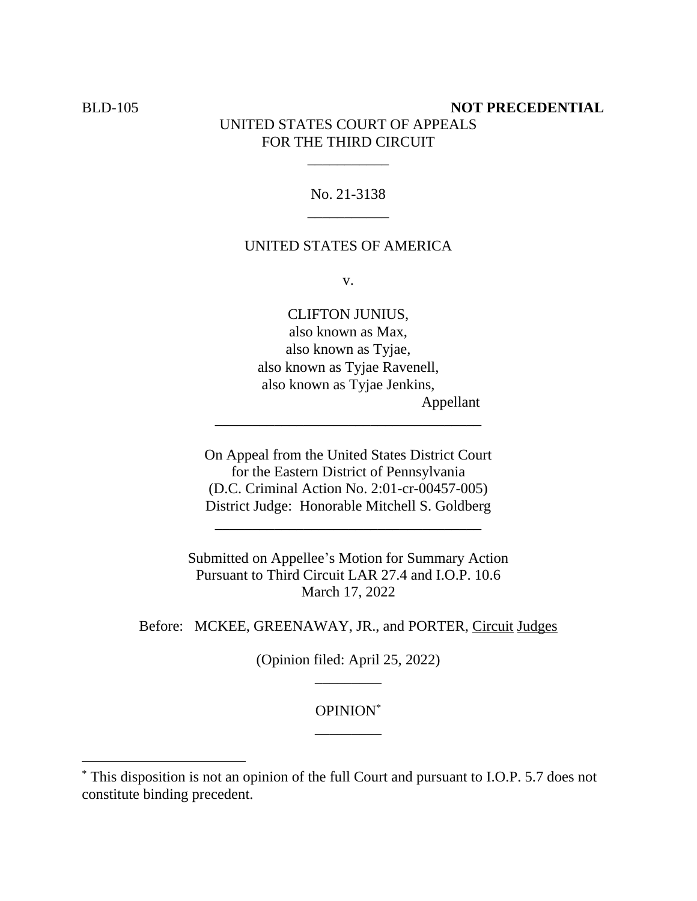# **BLD-105 NOT PRECEDENTIAL** UNITED STATES COURT OF APPEALS FOR THE THIRD CIRCUIT

# No. 21-3138 \_\_\_\_\_\_\_\_\_\_\_

\_\_\_\_\_\_\_\_\_\_\_

#### UNITED STATES OF AMERICA

v.

CLIFTON JUNIUS, also known as Max, also known as Tyjae, also known as Tyjae Ravenell, also known as Tyjae Jenkins, Appellant

On Appeal from the United States District Court for the Eastern District of Pennsylvania (D.C. Criminal Action No. 2:01-cr-00457-005) District Judge: Honorable Mitchell S. Goldberg

\_\_\_\_\_\_\_\_\_\_\_\_\_\_\_\_\_\_\_\_\_\_\_\_\_\_\_\_\_\_\_\_\_\_\_\_

\_\_\_\_\_\_\_\_\_\_\_\_\_\_\_\_\_\_\_\_\_\_\_\_\_\_\_\_\_\_\_\_\_\_\_\_

Submitted on Appellee's Motion for Summary Action Pursuant to Third Circuit LAR 27.4 and I.O.P. 10.6 March 17, 2022

Before: MCKEE, GREENAWAY, JR., and PORTER, Circuit Judges

(Opinion filed: April 25, 2022) \_\_\_\_\_\_\_\_\_

# OPINION\* \_\_\_\_\_\_\_\_\_

<sup>\*</sup> This disposition is not an opinion of the full Court and pursuant to I.O.P. 5.7 does not constitute binding precedent.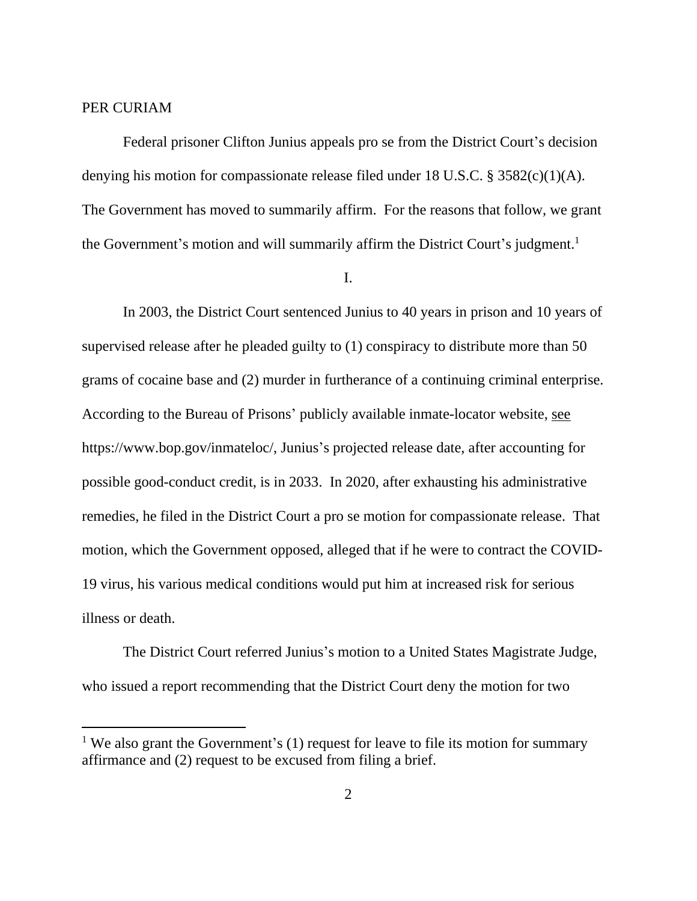#### PER CURIAM

Federal prisoner Clifton Junius appeals pro se from the District Court's decision denying his motion for compassionate release filed under 18 U.S.C. § 3582(c)(1)(A). The Government has moved to summarily affirm. For the reasons that follow, we grant the Government's motion and will summarily affirm the District Court's judgment.<sup>1</sup>

I.

In 2003, the District Court sentenced Junius to 40 years in prison and 10 years of supervised release after he pleaded guilty to (1) conspiracy to distribute more than 50 grams of cocaine base and (2) murder in furtherance of a continuing criminal enterprise. According to the Bureau of Prisons' publicly available inmate-locator website, see https://www.bop.gov/inmateloc/, Junius's projected release date, after accounting for possible good-conduct credit, is in 2033. In 2020, after exhausting his administrative remedies, he filed in the District Court a pro se motion for compassionate release. That motion, which the Government opposed, alleged that if he were to contract the COVID-19 virus, his various medical conditions would put him at increased risk for serious illness or death.

The District Court referred Junius's motion to a United States Magistrate Judge, who issued a report recommending that the District Court deny the motion for two

<sup>&</sup>lt;sup>1</sup> We also grant the Government's (1) request for leave to file its motion for summary affirmance and (2) request to be excused from filing a brief.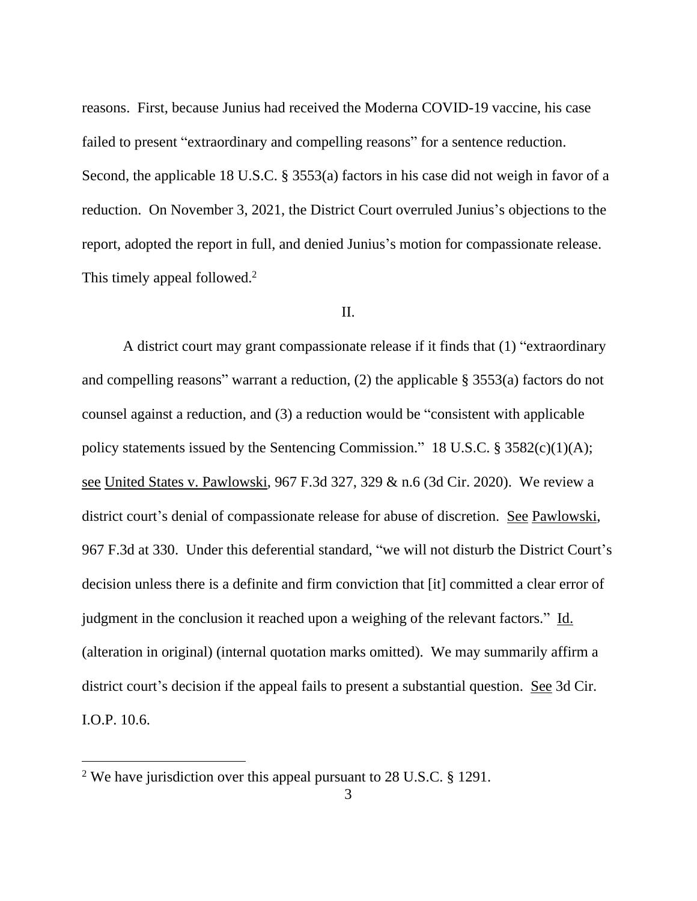reasons. First, because Junius had received the Moderna COVID-19 vaccine, his case failed to present "extraordinary and compelling reasons" for a sentence reduction. Second, the applicable 18 U.S.C. § 3553(a) factors in his case did not weigh in favor of a reduction. On November 3, 2021, the District Court overruled Junius's objections to the report, adopted the report in full, and denied Junius's motion for compassionate release. This timely appeal followed.<sup>2</sup>

#### II.

A district court may grant compassionate release if it finds that (1) "extraordinary and compelling reasons" warrant a reduction, (2) the applicable § 3553(a) factors do not counsel against a reduction, and (3) a reduction would be "consistent with applicable policy statements issued by the Sentencing Commission." 18 U.S.C.  $\S 3582(c)(1)(A);$ see United States v. Pawlowski, 967 F.3d 327, 329 & n.6 (3d Cir. 2020). We review a district court's denial of compassionate release for abuse of discretion. See Pawlowski, 967 F.3d at 330. Under this deferential standard, "we will not disturb the District Court's decision unless there is a definite and firm conviction that [it] committed a clear error of judgment in the conclusion it reached upon a weighing of the relevant factors." Id. (alteration in original) (internal quotation marks omitted). We may summarily affirm a district court's decision if the appeal fails to present a substantial question. See 3d Cir. I.O.P. 10.6.

<sup>&</sup>lt;sup>2</sup> We have jurisdiction over this appeal pursuant to 28 U.S.C.  $\S$  1291.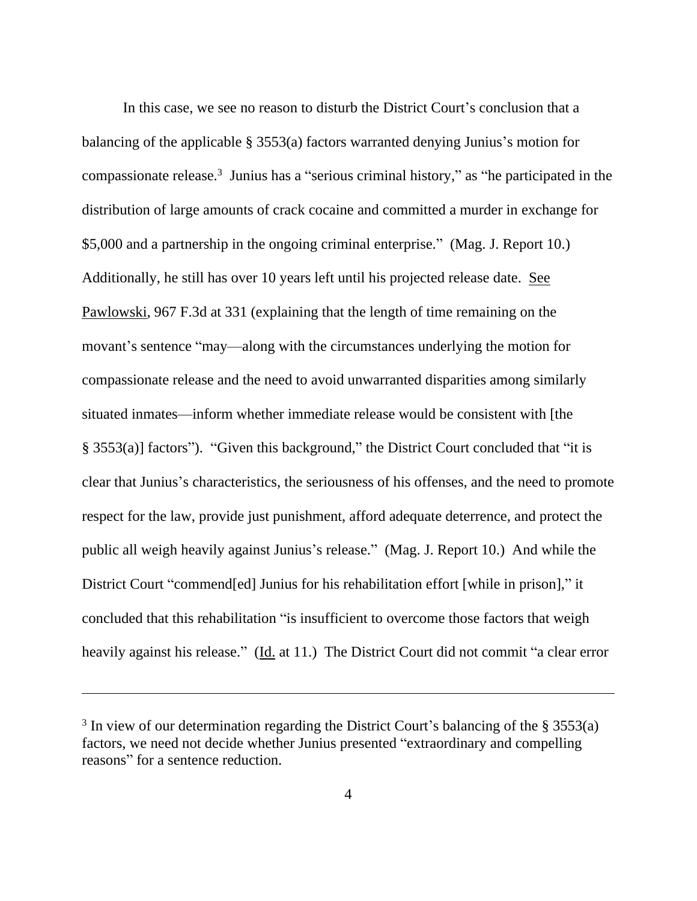In this case, we see no reason to disturb the District Court's conclusion that a balancing of the applicable § 3553(a) factors warranted denying Junius's motion for compassionate release. 3 Junius has a "serious criminal history," as "he participated in the distribution of large amounts of crack cocaine and committed a murder in exchange for \$5,000 and a partnership in the ongoing criminal enterprise." (Mag. J. Report 10.) Additionally, he still has over 10 years left until his projected release date. See Pawlowski, 967 F.3d at 331 (explaining that the length of time remaining on the movant's sentence "may—along with the circumstances underlying the motion for compassionate release and the need to avoid unwarranted disparities among similarly situated inmates—inform whether immediate release would be consistent with [the § 3553(a)] factors"). "Given this background," the District Court concluded that "it is clear that Junius's characteristics, the seriousness of his offenses, and the need to promote respect for the law, provide just punishment, afford adequate deterrence, and protect the public all weigh heavily against Junius's release." (Mag. J. Report 10.) And while the District Court "commend[ed] Junius for his rehabilitation effort [while in prison]," it concluded that this rehabilitation "is insufficient to overcome those factors that weigh heavily against his release." (Id. at 11.) The District Court did not commit "a clear error

 $3$  In view of our determination regarding the District Court's balancing of the  $\S 3553(a)$ factors, we need not decide whether Junius presented "extraordinary and compelling reasons" for a sentence reduction.